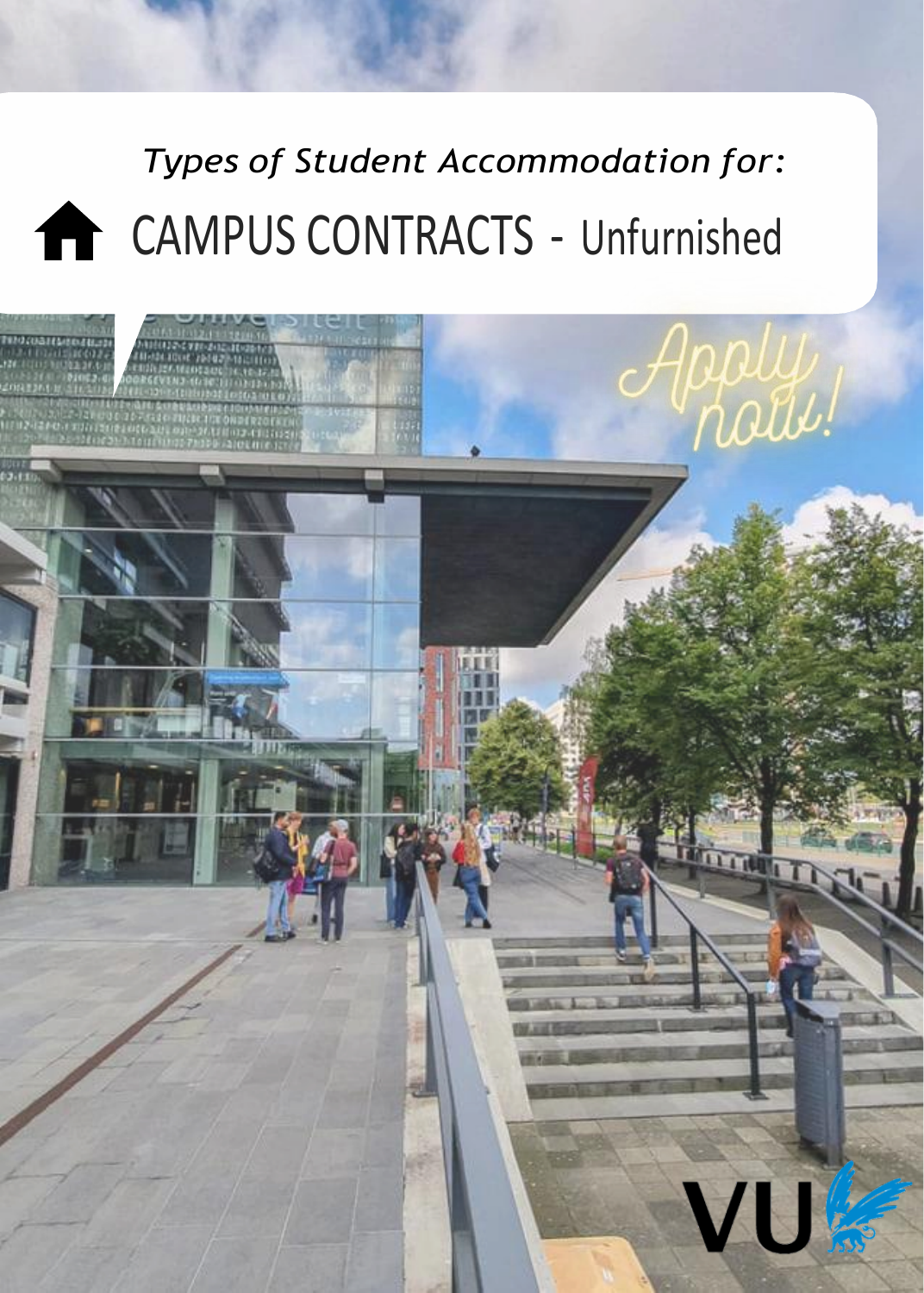# *Types of Student Accommodation for:* **CAMPUS CONTRACTS - Unfurnished**

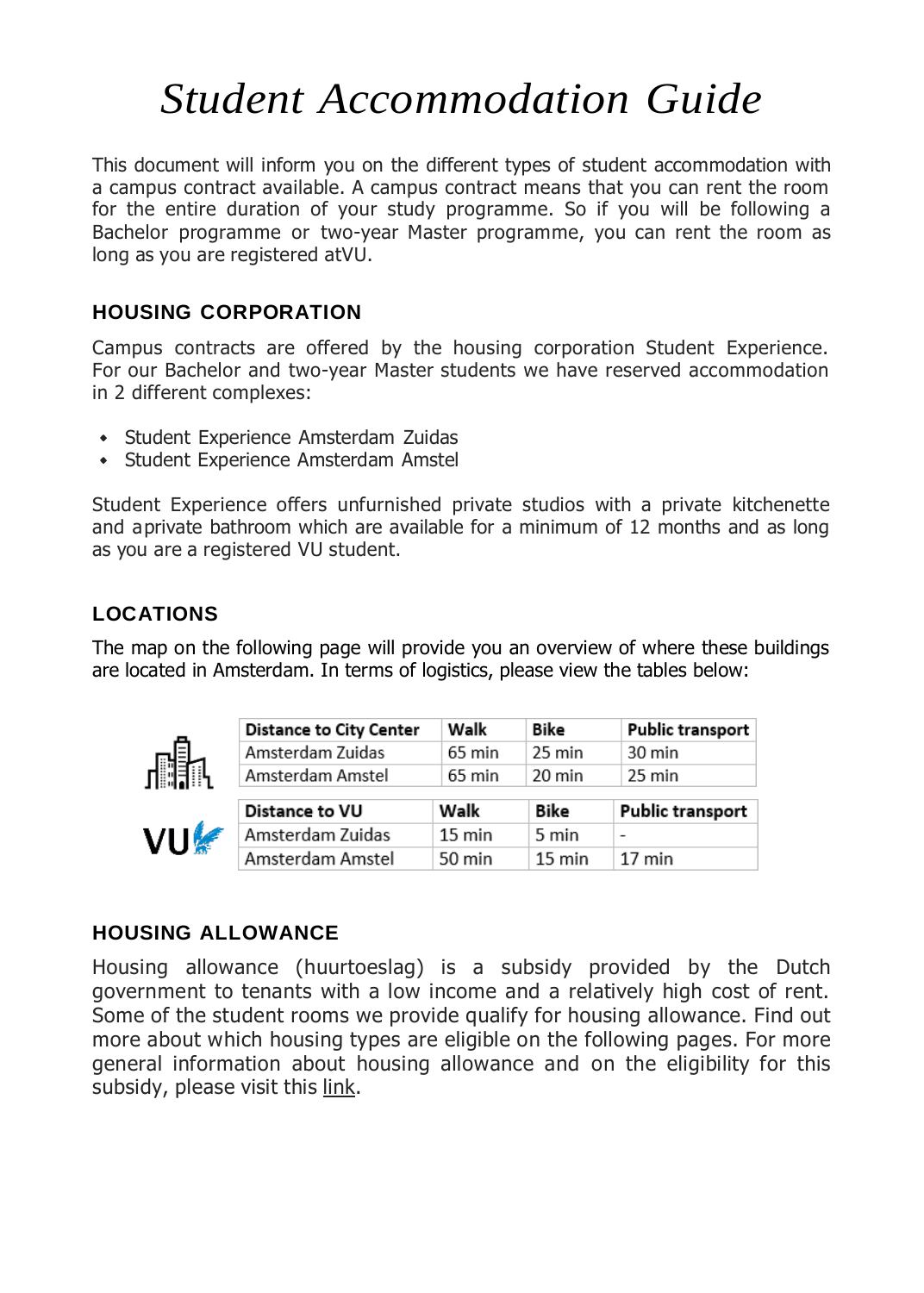### *Student Accommodation Guide*

This document will inform you on the different types of student accommodation with a campus contract available. A campus contract means that you can rent the room for the entire duration of your study programme. So if you will be following a Bachelor programme or two-year Master programme, you can rent the room as long as you are registered atVU.

#### **HOUSING CORPORATION**

Campus contracts are offered by the housing corporation Student Experience. For our Bachelor and two-year Master students we have reserved accommodation in 2 different complexes:

- Student Experience Amsterdam Zuidas
- Student Experience Amsterdam Amstel

Student Experience offers unfurnished private studios with a private kitchenette and aprivate bathroom which are available for a minimum of 12 months and as long as you are a registered VU student.

#### **LOCATIONS**

The map on the following page will provide you an overview of where these buildings are located in Amsterdam. In terms of logistics, please view the tables below:



|           | <b>Distance to City Center</b> | Walk             | <b>Bike</b>      | <b>Public transport</b> |
|-----------|--------------------------------|------------------|------------------|-------------------------|
|           | Amsterdam Zuidas               | 65 min           | 25 min           | 30 min                  |
| n it k    | Amsterdam Amstel               | 65 min           | 20 min           | 25 min                  |
|           |                                |                  |                  |                         |
|           | <b>Distance to VU</b>          | Walk             | Bike             | Public transport        |
| <b>VU</b> | Amsterdam Zuidas               | $15 \text{ min}$ | 5 min            |                         |
|           | Amsterdam Amstel               | $50 \text{ min}$ | $15 \text{ min}$ | 17 min                  |

#### **HOUSING ALLOWANCE**

Housing allowance (huurtoeslag) is a subsidy provided by the Dutch government to tenants with a low income and a relatively high cost of rent. Some of the student rooms we provide qualify for housing allowance. Find out more about which housing types are eligible on the following pages. For more general information about housing allowance and on the eligibility for this subsidy, please visit this [link.](https://assets.vu.nl/d8b6f1f5-816c-005b-1dc1-e363dd7ce9a5/bcb45476-01e0-420d-af57-58825c24748a/Housing%20allowance%20Rent%20allowance%202020-2021.pdf)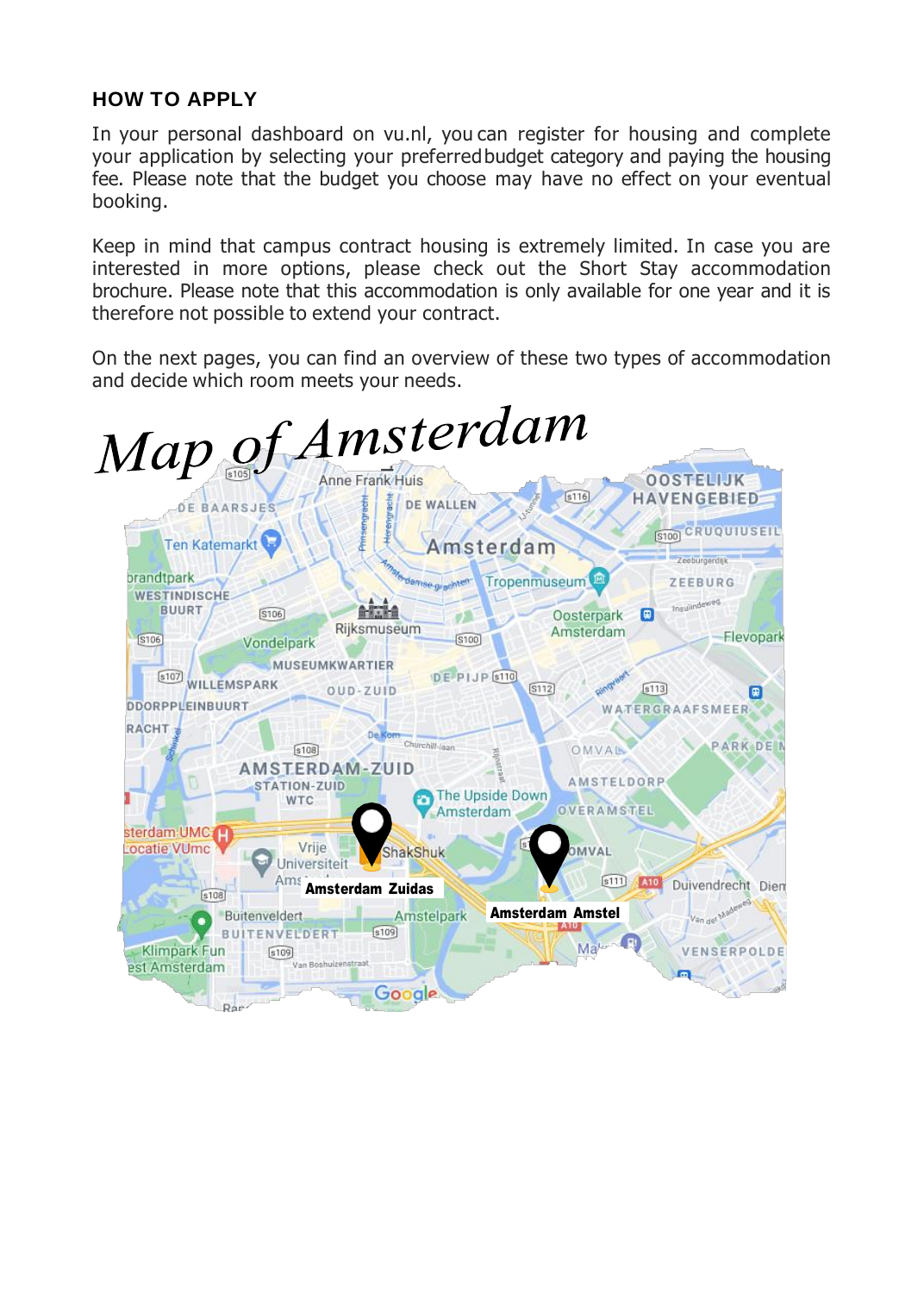#### **HOW TO APPLY**

In your personal dashboard on vu.nl, you can register for housing and complete your application by selecting your preferredbudget category and paying the housing fee. Please note that the budget you choose may have no effect on your eventual booking.

Keep in mind that campus contract housing is extremely limited. In case you are interested in more options, please check out the Short Stay accommodation brochure. Please note that this accommodation is only available for one year and it is therefore not possible to extend your contract.

On the next pages, you can find an overview of these two types of accommodation and decide which room meets your needs.

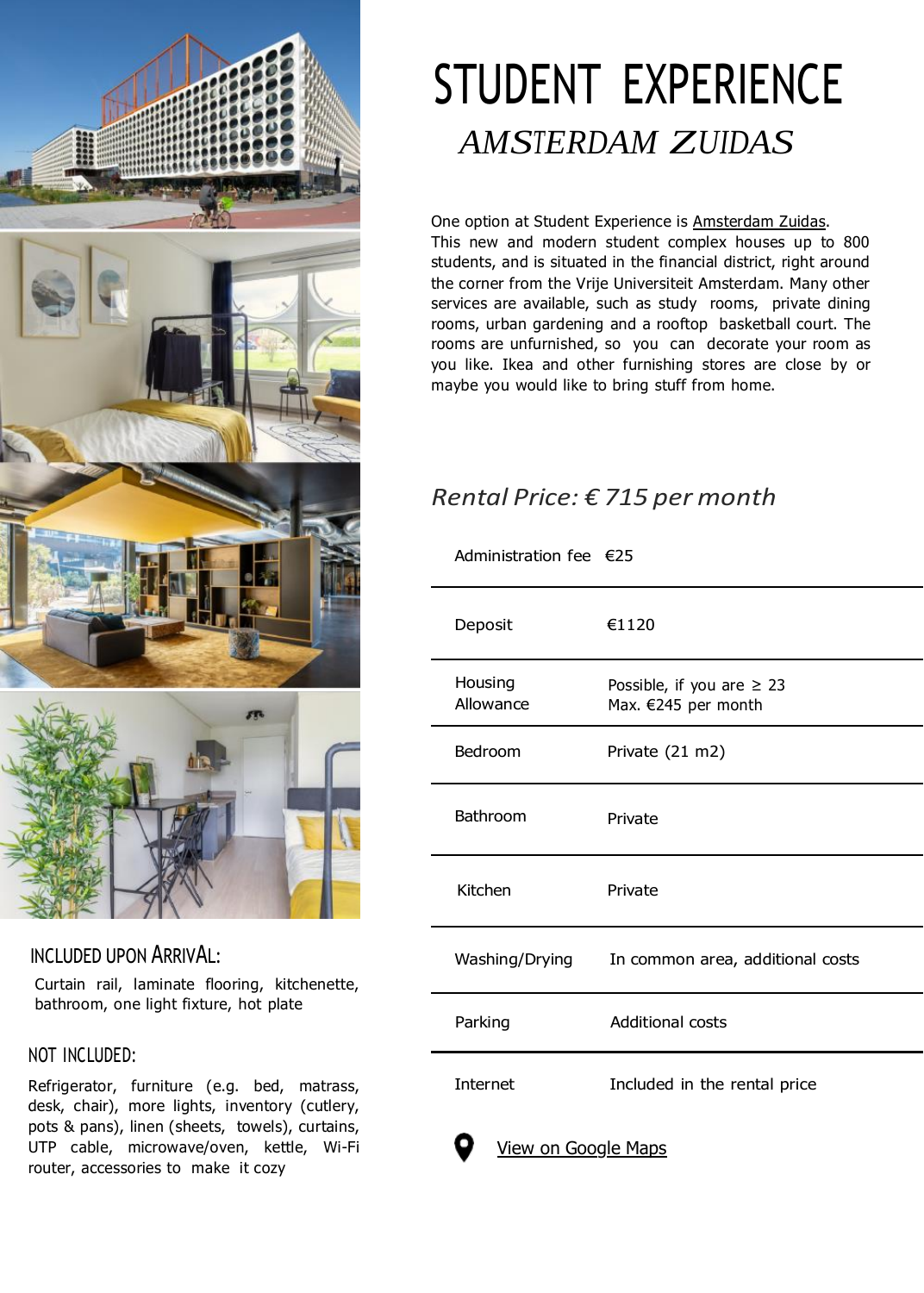

#### INCLUDED UPON ARRIVAL:

Curtain rail, laminate flooring, kitchenette, bathroom, one light fixture, hot plate

#### NOT INCLUDED:

Refrigerator, furniture (e.g. bed, matrass, desk, chair), more lights, inventory (cutlery, pots & pans), linen (sheets, towels), curtains, UTP cable, microwave/oven, kettle, Wi-Fi router, accessories to make it cozy

### STUDENT EXPERIENCE *AMSTERDAM ZUIDAS*

One option at Student Experience is [Amsterdam](https://studentexperience.nl/en/locations/10/amsterdam-zuidas) Zuidas. This new and modern student complex houses up to 800 students, and is situated in the financial district, right around the corner from the Vrije Universiteit Amsterdam. Many other services are available, such as study rooms, private dining rooms, urban gardening and a rooftop basketball court. The rooms are unfurnished, so you can decorate your room as you like. Ikea and other furnishing stores are close by or maybe you would like to bring stuff from home.

#### *Rental Price: € 715 per month*

Administration fee €25

| Deposit              | €1120                                                 |  |
|----------------------|-------------------------------------------------------|--|
| Housing<br>Allowance | Possible, if you are $\geq 23$<br>Max. €245 per month |  |
| Bedroom              | Private (21 m2)                                       |  |
| Bathroom             | Private                                               |  |
| Kitchen              | Private                                               |  |
| Washing/Drying       | In common area, additional costs                      |  |
| Parking              | <b>Additional costs</b>                               |  |
| Internet             | Included in the rental price                          |  |
| View on Google Maps  |                                                       |  |